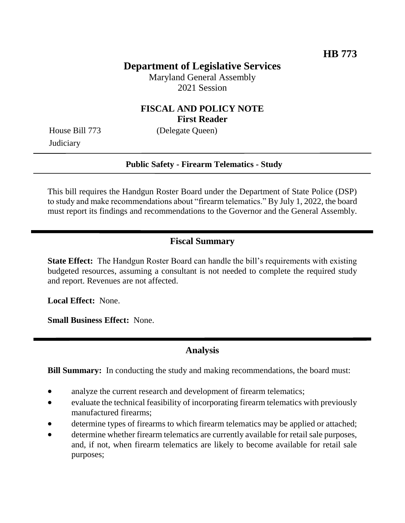# **Department of Legislative Services**

Maryland General Assembly 2021 Session

## **FISCAL AND POLICY NOTE First Reader**

**Judiciary** 

House Bill 773 (Delegate Queen)

#### **Public Safety - Firearm Telematics - Study**

This bill requires the Handgun Roster Board under the Department of State Police (DSP) to study and make recommendations about "firearm telematics." By July 1, 2022, the board must report its findings and recommendations to the Governor and the General Assembly.

## **Fiscal Summary**

**State Effect:** The Handgun Roster Board can handle the bill's requirements with existing budgeted resources, assuming a consultant is not needed to complete the required study and report. Revenues are not affected.

**Local Effect:** None.

**Small Business Effect:** None.

#### **Analysis**

**Bill Summary:** In conducting the study and making recommendations, the board must:

- analyze the current research and development of firearm telematics;
- evaluate the technical feasibility of incorporating firearm telematics with previously manufactured firearms;
- determine types of firearms to which firearm telematics may be applied or attached;
- determine whether firearm telematics are currently available for retail sale purposes, and, if not, when firearm telematics are likely to become available for retail sale purposes;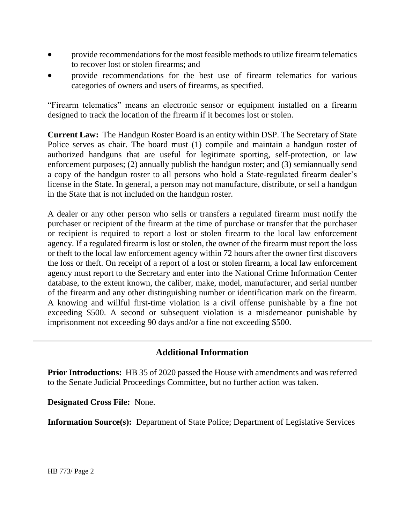- provide recommendations for the most feasible methods to utilize firearm telematics to recover lost or stolen firearms; and
- provide recommendations for the best use of firearm telematics for various categories of owners and users of firearms, as specified.

"Firearm telematics" means an electronic sensor or equipment installed on a firearm designed to track the location of the firearm if it becomes lost or stolen.

**Current Law:** The Handgun Roster Board is an entity within DSP. The Secretary of State Police serves as chair. The board must (1) compile and maintain a handgun roster of authorized handguns that are useful for legitimate sporting, self-protection, or law enforcement purposes; (2) annually publish the handgun roster; and (3) semiannually send a copy of the handgun roster to all persons who hold a State-regulated firearm dealer's license in the State. In general, a person may not manufacture, distribute, or sell a handgun in the State that is not included on the handgun roster.

A dealer or any other person who sells or transfers a regulated firearm must notify the purchaser or recipient of the firearm at the time of purchase or transfer that the purchaser or recipient is required to report a lost or stolen firearm to the local law enforcement agency. If a regulated firearm is lost or stolen, the owner of the firearm must report the loss or theft to the local law enforcement agency within 72 hours after the owner first discovers the loss or theft. On receipt of a report of a lost or stolen firearm, a local law enforcement agency must report to the Secretary and enter into the National Crime Information Center database, to the extent known, the caliber, make, model, manufacturer, and serial number of the firearm and any other distinguishing number or identification mark on the firearm. A knowing and willful first-time violation is a civil offense punishable by a fine not exceeding \$500. A second or subsequent violation is a misdemeanor punishable by imprisonment not exceeding 90 days and/or a fine not exceeding \$500.

## **Additional Information**

**Prior Introductions:** HB 35 of 2020 passed the House with amendments and was referred to the Senate Judicial Proceedings Committee, but no further action was taken.

**Designated Cross File:** None.

**Information Source(s):** Department of State Police; Department of Legislative Services